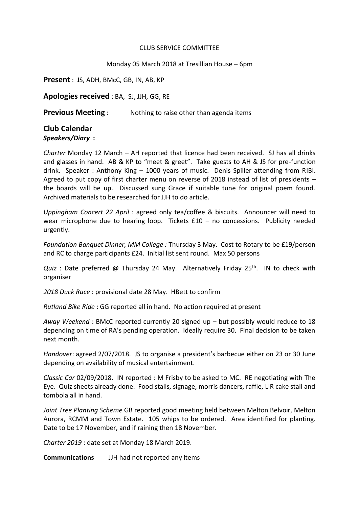## CLUB SERVICE COMMITTEE

## Monday 05 March 2018 at Tresillian House – 6pm

**Present** : JS, ADH, BMcC, GB, IN, AB, KP

**Apologies received** : BA, SJ, JJH, GG, RE

**Previous Meeting** : Nothing to raise other than agenda items

## **Club Calendar**

## *Speakers/Diary* **:**

*Charter* Monday 12 March – AH reported that licence had been received. SJ has all drinks and glasses in hand. AB & KP to "meet & greet". Take guests to AH & JS for pre-function drink. Speaker : Anthony King – 1000 years of music. Denis Spiller attending from RIBI. Agreed to put copy of first charter menu on reverse of 2018 instead of list of presidents – the boards will be up. Discussed sung Grace if suitable tune for original poem found. Archived materials to be researched for JJH to do article.

*Uppingham Concert 22 April* : agreed only tea/coffee & biscuits. Announcer will need to wear microphone due to hearing loop. Tickets £10 – no concessions. Publicity needed urgently.

*Foundation Banquet Dinner, MM College :* Thursday 3 May. Cost to Rotary to be £19/person and RC to charge participants £24. Initial list sent round. Max 50 persons

*Quiz*: Date preferred @ Thursday 24 May. Alternatively Friday 25<sup>th</sup>. IN to check with organiser

*2018 Duck Race :* provisional date 28 May. HBett to confirm

*Rutland Bike Ride* : GG reported all in hand. No action required at present

*Away Weekend* : BMcC reported currently 20 signed up – but possibly would reduce to 18 depending on time of RA's pending operation. Ideally require 30. Final decision to be taken next month.

*Handover*: agreed 2/07/2018. JS to organise a president's barbecue either on 23 or 30 June depending on availability of musical entertainment.

*Classic Car* 02/09/2018. IN reported : M Frisby to be asked to MC. RE negotiating with The Eye. Quiz sheets already done. Food stalls, signage, morris dancers, raffle, LIR cake stall and tombola all in hand.

*Joint Tree Planting Scheme* GB reported good meeting held between Melton Belvoir, Melton Aurora, RCMM and Town Estate. 105 whips to be ordered. Area identified for planting. Date to be 17 November, and if raining then 18 November.

*Charter 2019* : date set at Monday 18 March 2019.

**Communications** JJH had not reported any items